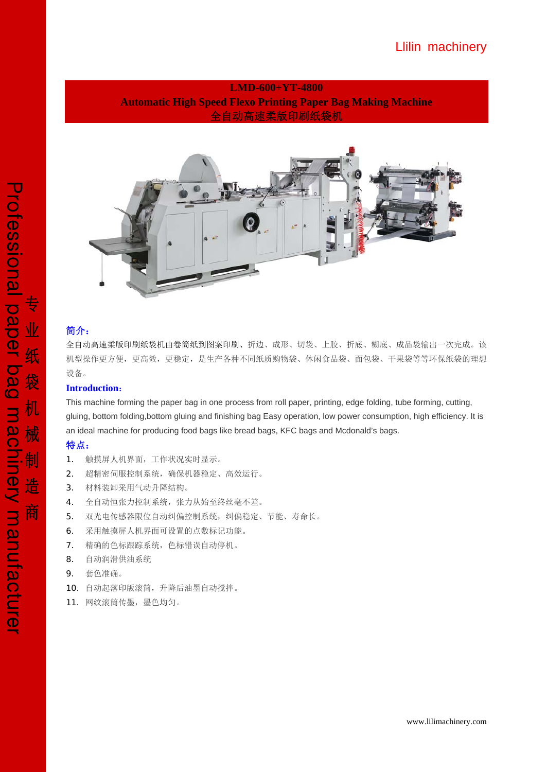## Llilin machinery

## **LMD-600+YT-4800 Automatic High Speed Flexo Printing Paper Bag Making Machine**  全自动高速柔版印刷纸袋机



## 简介:

全自动高速柔版印刷纸袋机由卷筒纸到图案印刷、折边、成形、切袋、上胶、折底、糊底、成品袋输出一次完成。该 机型操作更方便,更高效,更稳定,是生产各种不同纸质购物袋、休闲食品袋、面包袋、干果袋等等环保纸袋的理想 设备。

### **Introduction**:

This machine forming the paper bag in one process from roll paper, printing, edge folding, tube forming, cutting, gluing, bottom folding,bottom gluing and finishing bag Easy operation, low power consumption, high efficiency. It is an ideal machine for producing food bags like bread bags, KFC bags and Mcdonald's bags.

### 特点:

- 1. 触摸屏人机界面,工作状况实时显示。
- 2. 超精密伺服控制系统,确保机器稳定、高效运行。
- 3. 材料装卸采用气动升降结构。
- 4. 全自动恒张力控制系统,张力从始至终丝毫不差。
- 5. 双光电传感器限位自动纠偏控制系统,纠偏稳定、节能、寿命长。
- 6. 采用触摸屏人机界面可设置的点数标记功能。
- 7. 精确的色标跟踪系统,色标错误自动停机。
- 8. 自动润滑供油系统
- 9. 套色准确。
- 10. 自动起落印版滚筒,升降后油墨自动搅拌。
- 11. 网纹滚筒传墨,墨色均匀。